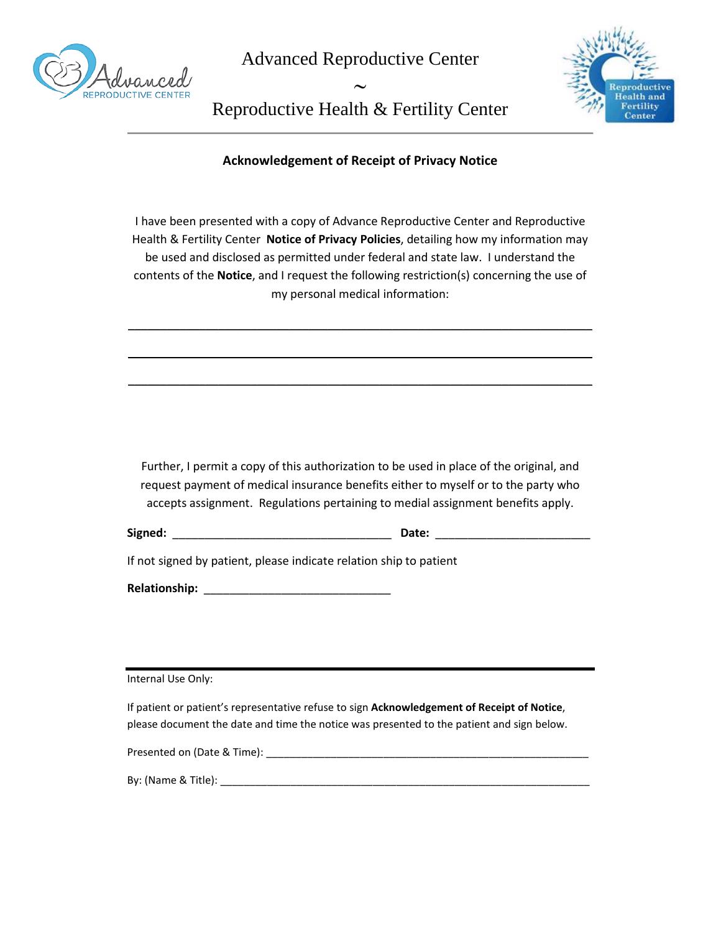

Advanced Reproductive Center



Reproductive Health & Fertility Center

∼

**Acknowledgement of Receipt of Privacy Notice**

I have been presented with a copy of Advance Reproductive Center and Reproductive Health & Fertility Center **Notice of Privacy Policies**, detailing how my information may be used and disclosed as permitted under federal and state law. I understand the contents of the **Notice**, and I request the following restriction(s) concerning the use of my personal medical information:

\_\_\_\_\_\_\_\_\_\_\_\_\_\_\_\_\_\_\_\_\_\_\_\_\_\_\_\_\_\_\_\_\_\_\_\_\_\_\_\_\_\_\_\_\_\_\_\_\_\_\_\_\_\_\_\_\_\_\_\_\_\_\_\_\_\_\_\_\_\_\_\_

\_\_\_\_\_\_\_\_\_\_\_\_\_\_\_\_\_\_\_\_\_\_\_\_\_\_\_\_\_\_\_\_\_\_\_\_\_\_\_\_\_\_\_\_\_\_\_\_\_\_\_\_\_\_\_\_\_\_\_\_\_\_\_\_\_\_\_\_\_\_\_\_

\_\_\_\_\_\_\_\_\_\_\_\_\_\_\_\_\_\_\_\_\_\_\_\_\_\_\_\_\_\_\_\_\_\_\_\_\_\_\_\_\_\_\_\_\_\_\_\_\_\_\_\_\_\_\_\_\_\_\_\_\_\_\_\_\_\_\_\_\_\_\_\_

Further, I permit a copy of this authorization to be used in place of the original, and request payment of medical insurance benefits either to myself or to the party who accepts assignment. Regulations pertaining to medial assignment benefits apply.

| Signed: | <b>Date:</b> |  |
|---------|--------------|--|
|         |              |  |

If not signed by patient, please indicate relation ship to patient

**Relationship:** \_\_\_\_\_\_\_\_\_\_\_\_\_\_\_\_\_\_\_\_\_\_\_\_\_\_\_\_\_

Internal Use Only:

If patient or patient's representative refuse to sign **Acknowledgement of Receipt of Notice**, please document the date and time the notice was presented to the patient and sign below.

Presented on (Date & Time): \_\_\_\_\_\_\_\_\_\_\_\_\_\_\_\_\_\_\_\_\_\_\_\_\_\_\_\_\_\_\_\_\_\_\_\_\_\_\_\_\_\_\_\_\_\_\_\_\_\_\_\_\_\_\_

By: (Name & Title): \_\_\_\_\_\_\_\_\_\_\_\_\_\_\_\_\_\_\_\_\_\_\_\_\_\_\_\_\_\_\_\_\_\_\_\_\_\_\_\_\_\_\_\_\_\_\_\_\_\_\_\_\_\_\_\_\_\_\_\_\_\_\_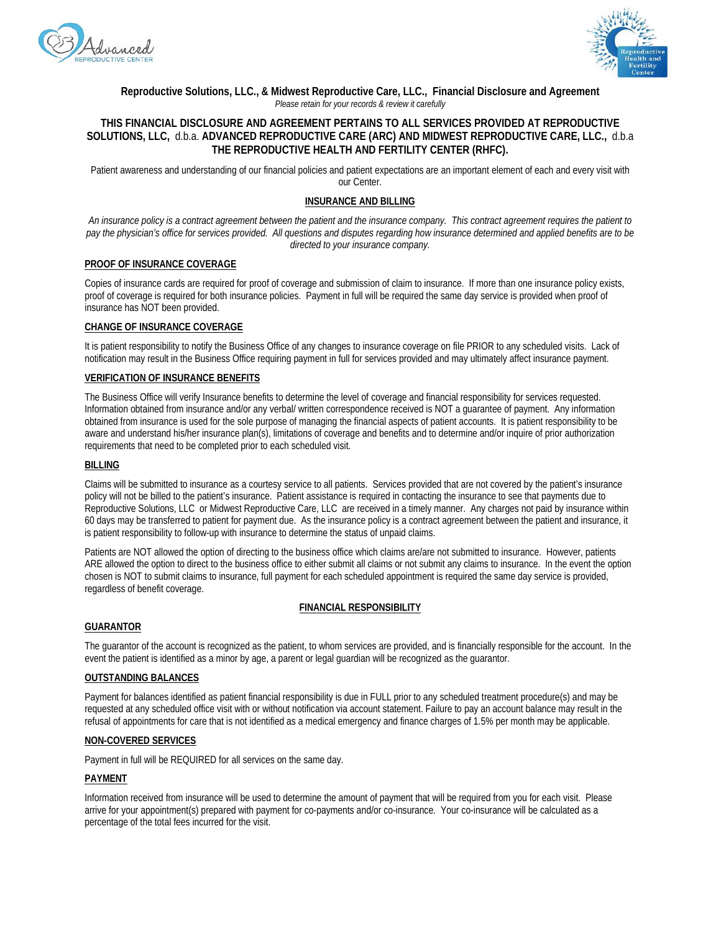



**Reproductive Solutions, LLC., & Midwest Reproductive Care, LLC., Financial Disclosure and Agreement** *Please retain for your records & review it carefully*

## **THIS FINANCIAL DISCLOSURE AND AGREEMENT PERTAINS TO ALL SERVICES PROVIDED AT REPRODUCTIVE SOLUTIONS, LLC,** d.b.a. **ADVANCED REPRODUCTIVE CARE (ARC) AND MIDWEST REPRODUCTIVE CARE, LLC.,** d.b.a **THE REPRODUCTIVE HEALTH AND FERTILITY CENTER (RHFC).**

Patient awareness and understanding of our financial policies and patient expectations are an important element of each and every visit with our Center.

## **INSURANCE AND BILLING**

*An insurance policy is a contract agreement between the patient and the insurance company. This contract agreement requires the patient to pay the physician's office for services provided. All questions and disputes regarding how insurance determined and applied benefits are to be directed to your insurance company.*

#### **PROOF OF INSURANCE COVERAGE**

Copies of insurance cards are required for proof of coverage and submission of claim to insurance. If more than one insurance policy exists, proof of coverage is required for both insurance policies. Payment in full will be required the same day service is provided when proof of insurance has NOT been provided.

#### **CHANGE OF INSURANCE COVERAGE**

It is patient responsibility to notify the Business Office of any changes to insurance coverage on file PRIOR to any scheduled visits. Lack of notification may result in the Business Office requiring payment in full for services provided and may ultimately affect insurance payment.

#### **VERIFICATION OF INSURANCE BENEFITS**

The Business Office will verify Insurance benefits to determine the level of coverage and financial responsibility for services requested. Information obtained from insurance and/or any verbal/ written correspondence received is NOT a guarantee of payment. Any information obtained from insurance is used for the sole purpose of managing the financial aspects of patient accounts. It is patient responsibility to be aware and understand his/her insurance plan(s), limitations of coverage and benefits and to determine and/or inquire of prior authorization requirements that need to be completed prior to each scheduled visit.

#### **BILLING**

Claims will be submitted to insurance as a courtesy service to all patients. Services provided that are not covered by the patient's insurance policy will not be billed to the patient's insurance. Patient assistance is required in contacting the insurance to see that payments due to Reproductive Solutions, LLC or Midwest Reproductive Care, LLC are received in a timely manner. Any charges not paid by insurance within 60 days may be transferred to patient for payment due. As the insurance policy is a contract agreement between the patient and insurance, it is patient responsibility to follow-up with insurance to determine the status of unpaid claims.

Patients are NOT allowed the option of directing to the business office which claims are/are not submitted to insurance. However, patients ARE allowed the option to direct to the business office to either submit all claims or not submit any claims to insurance. In the event the option chosen is NOT to submit claims to insurance, full payment for each scheduled appointment is required the same day service is provided, regardless of benefit coverage.

## **FINANCIAL RESPONSIBILITY**

## **GUARANTOR**

The guarantor of the account is recognized as the patient, to whom services are provided, and is financially responsible for the account. In the event the patient is identified as a minor by age, a parent or legal guardian will be recognized as the guarantor.

## **OUTSTANDING BALANCES**

Payment for balances identified as patient financial responsibility is due in FULL prior to any scheduled treatment procedure(s) and may be requested at any scheduled office visit with or without notification via account statement. Failure to pay an account balance may result in the refusal of appointments for care that is not identified as a medical emergency and finance charges of 1.5% per month may be applicable.

#### **NON-COVERED SERVICES**

Payment in full will be REQUIRED for all services on the same day.

## **PAYMENT**

Information received from insurance will be used to determine the amount of payment that will be required from you for each visit. Please arrive for your appointment(s) prepared with payment for co-payments and/or co-insurance. Your co-insurance will be calculated as a percentage of the total fees incurred for the visit.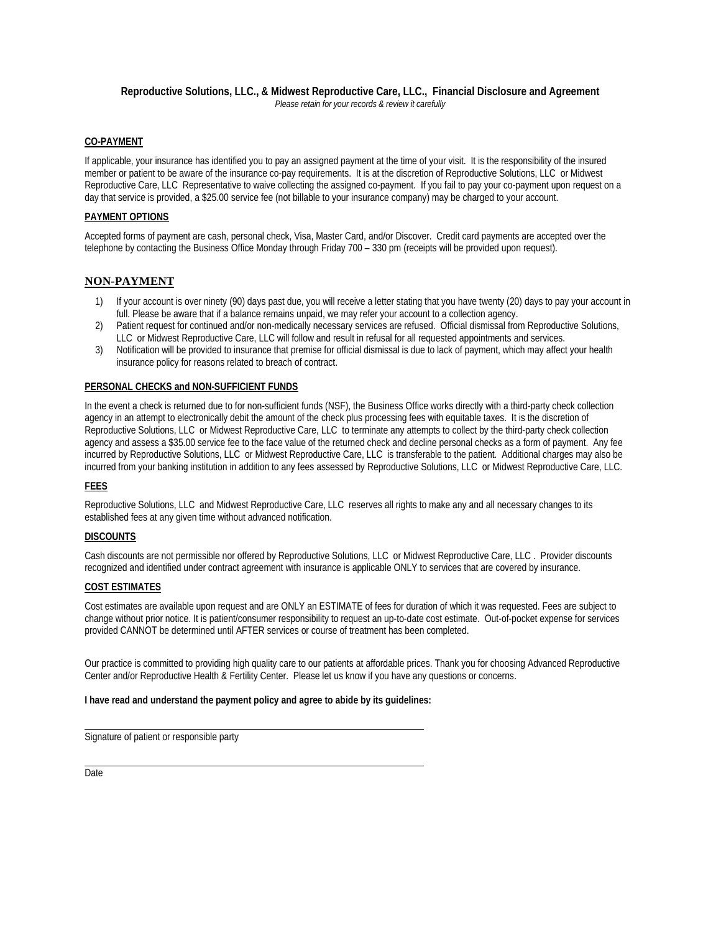#### **Reproductive Solutions, LLC., & Midwest Reproductive Care, LLC., Financial Disclosure and Agreement** *Please retain for your records & review it carefully*

## **CO-PAYMENT**

If applicable, your insurance has identified you to pay an assigned payment at the time of your visit. It is the responsibility of the insured member or patient to be aware of the insurance co-pay requirements. It is at the discretion of Reproductive Solutions, LLC or Midwest Reproductive Care, LLC Representative to waive collecting the assigned co-payment. If you fail to pay your co-payment upon request on a day that service is provided, a \$25.00 service fee (not billable to your insurance company) may be charged to your account.

## **PAYMENT OPTIONS**

Accepted forms of payment are cash, personal check, Visa, Master Card, and/or Discover. Credit card payments are accepted over the telephone by contacting the Business Office Monday through Friday 700 – 330 pm (receipts will be provided upon request).

# **NON-PAYMENT**

- 1) If your account is over ninety (90) days past due, you will receive a letter stating that you have twenty (20) days to pay your account in full. Please be aware that if a balance remains unpaid, we may refer your account to a collection agency.
- 2) Patient request for continued and/or non-medically necessary services are refused. Official dismissal from Reproductive Solutions, LLC or Midwest Reproductive Care, LLC will follow and result in refusal for all requested appointments and services.
- 3) Notification will be provided to insurance that premise for official dismissal is due to lack of payment, which may affect your health insurance policy for reasons related to breach of contract.

## **PERSONAL CHECKS and NON-SUFFICIENT FUNDS**

In the event a check is returned due to for non-sufficient funds (NSF), the Business Office works directly with a third-party check collection agency in an attempt to electronically debit the amount of the check plus processing fees with equitable taxes. It is the discretion of Reproductive Solutions, LLC or Midwest Reproductive Care, LLC to terminate any attempts to collect by the third-party check collection agency and assess a \$35.00 service fee to the face value of the returned check and decline personal checks as a form of payment. Any fee incurred by Reproductive Solutions, LLC or Midwest Reproductive Care, LLC is transferable to the patient. Additional charges may also be incurred from your banking institution in addition to any fees assessed by Reproductive Solutions, LLC or Midwest Reproductive Care, LLC.

## **FEES**

Reproductive Solutions, LLC and Midwest Reproductive Care, LLC reserves all rights to make any and all necessary changes to its established fees at any given time without advanced notification.

## **DISCOUNTS**

Cash discounts are not permissible nor offered by Reproductive Solutions, LLC or Midwest Reproductive Care, LLC . Provider discounts recognized and identified under contract agreement with insurance is applicable ONLY to services that are covered by insurance.

#### **COST ESTIMATES**

Cost estimates are available upon request and are ONLY an ESTIMATE of fees for duration of which it was requested. Fees are subject to change without prior notice. It is patient/consumer responsibility to request an up-to-date cost estimate. Out-of-pocket expense for services provided CANNOT be determined until AFTER services or course of treatment has been completed.

Our practice is committed to providing high quality care to our patients at affordable prices. Thank you for choosing Advanced Reproductive Center and/or Reproductive Health & Fertility Center. Please let us know if you have any questions or concerns.

## **I have read and understand the payment policy and agree to abide by its guidelines:**

Signature of patient or responsible party

Date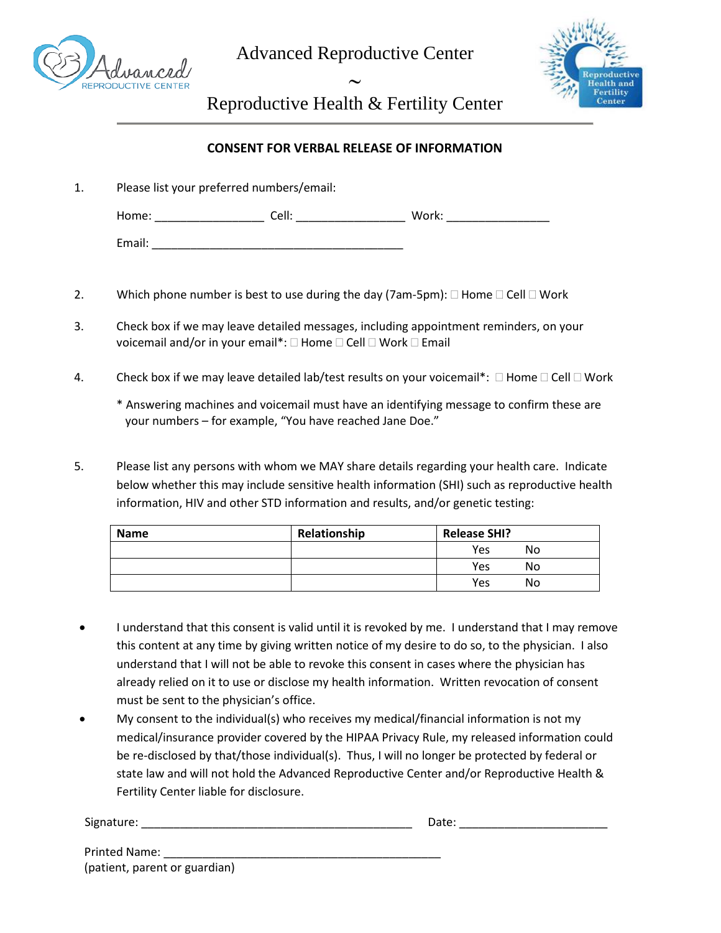

Advanced Reproductive Center

∼



Reproductive Health & Fertility Center

# **CONSENT FOR VERBAL RELEASE OF INFORMATION**

- 1. Please list your preferred numbers/email: Home: \_\_\_\_\_\_\_\_\_\_\_\_\_\_\_\_\_ Cell: \_\_\_\_\_\_\_\_\_\_\_\_\_\_\_\_\_ Work: \_\_\_\_\_\_\_\_\_\_\_\_\_\_\_\_ Email: \_\_\_\_\_\_\_\_\_\_\_\_\_\_\_\_\_\_\_\_\_\_\_\_\_\_\_\_\_\_\_\_\_\_\_\_\_\_\_
- 2. Which phone number is best to use during the day (7am-5pm):  $\Box$  Home  $\Box$  Cell  $\Box$  Work
- 3. Check box if we may leave detailed messages, including appointment reminders, on your voicemail and/or in your email\*:  $\Box$  Home  $\Box$  Cell  $\Box$  Work  $\Box$  Email
- 4. Check box if we may leave detailed lab/test results on your voicemail\*:  $\Box$  Home  $\Box$  Cell  $\Box$  Work
	- \* Answering machines and voicemail must have an identifying message to confirm these are your numbers – for example, "You have reached Jane Doe."
- 5. Please list any persons with whom we MAY share details regarding your health care. Indicate below whether this may include sensitive health information (SHI) such as reproductive health information, HIV and other STD information and results, and/or genetic testing:

| <b>Name</b> | Relationship | <b>Release SHI?</b> |    |
|-------------|--------------|---------------------|----|
|             |              | Yes                 | No |
|             |              | Yes                 | No |
|             |              | Yes                 | No |

- I understand that this consent is valid until it is revoked by me. I understand that I may remove this content at any time by giving written notice of my desire to do so, to the physician. I also understand that I will not be able to revoke this consent in cases where the physician has already relied on it to use or disclose my health information. Written revocation of consent must be sent to the physician's office.
- My consent to the individual(s) who receives my medical/financial information is not my medical/insurance provider covered by the HIPAA Privacy Rule, my released information could be re-disclosed by that/those individual(s). Thus, I will no longer be protected by federal or state law and will not hold the Advanced Reproductive Center and/or Reproductive Health & Fertility Center liable for disclosure.

| Signature: |  |
|------------|--|
|            |  |

Signature: \_\_\_\_\_\_\_\_\_\_\_\_\_\_\_\_\_\_\_\_\_\_\_\_\_\_\_\_\_\_\_\_\_\_\_\_\_\_\_\_\_\_ Date: \_\_\_\_\_\_\_\_\_\_\_\_\_\_\_\_\_\_\_\_\_\_\_

| <b>Printed Name:</b>          |  |
|-------------------------------|--|
| (patient, parent or guardian) |  |